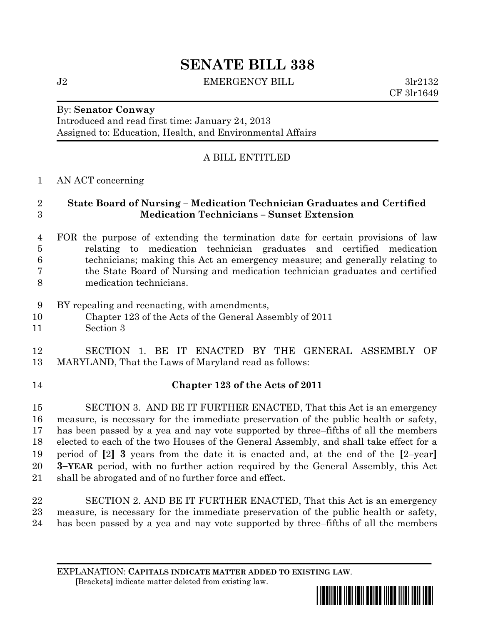# **SENATE BILL 338**

J2 **EMERGENCY BILL** 3lr2132

CF 3lr1649

## By: **Senator Conway**

Introduced and read first time: January 24, 2013 Assigned to: Education, Health, and Environmental Affairs

# A BILL ENTITLED

#### AN ACT concerning

#### **State Board of Nursing – Medication Technician Graduates and Certified Medication Technicians – Sunset Extension**

## FOR the purpose of extending the termination date for certain provisions of law relating to medication technician graduates and certified medication technicians; making this Act an emergency measure; and generally relating to the State Board of Nursing and medication technician graduates and certified medication technicians.

- BY repealing and reenacting, with amendments,
- Chapter 123 of the Acts of the General Assembly of 2011
- Section 3

## SECTION 1. BE IT ENACTED BY THE GENERAL ASSEMBLY OF MARYLAND, That the Laws of Maryland read as follows:

#### **Chapter 123 of the Acts of 2011**

 SECTION 3. AND BE IT FURTHER ENACTED, That this Act is an emergency measure, is necessary for the immediate preservation of the public health or safety, has been passed by a yea and nay vote supported by three–fifths of all the members elected to each of the two Houses of the General Assembly, and shall take effect for a period of **[**2**] 3** years from the date it is enacted and, at the end of the **[**2–year**] 3–YEAR** period, with no further action required by the General Assembly, this Act shall be abrogated and of no further force and effect.

 SECTION 2. AND BE IT FURTHER ENACTED, That this Act is an emergency measure, is necessary for the immediate preservation of the public health or safety, has been passed by a yea and nay vote supported by three–fifths of all the members

EXPLANATION: **CAPITALS INDICATE MATTER ADDED TO EXISTING LAW**.  **[**Brackets**]** indicate matter deleted from existing law.